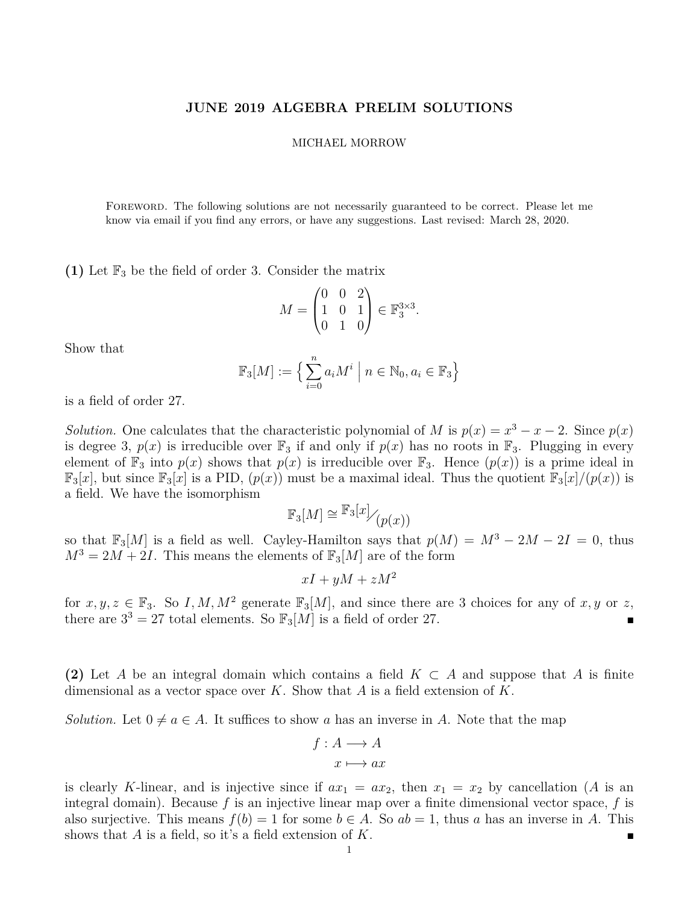## **JUNE 2019 ALGEBRA PRELIM SOLUTIONS**

## MICHAEL MORROW

Foreword. The following solutions are not necessarily guaranteed to be correct. Please let me know via email if you find any errors, or have any suggestions. Last revised: March 28, 2020.

**(1)** Let  $\mathbb{F}_3$  be the field of order 3. Consider the matrix

$$
M = \begin{pmatrix} 0 & 0 & 2 \\ 1 & 0 & 1 \\ 0 & 1 & 0 \end{pmatrix} \in \mathbb{F}_3^{3 \times 3}.
$$

Show that

$$
\mathbb{F}_3[M] := \left\{ \sum_{i=0}^n a_i M^i \mid n \in \mathbb{N}_0, a_i \in \mathbb{F}_3 \right\}
$$

is a field of order 27.

*Solution.* One calculates that the characteristic polynomial of *M* is  $p(x) = x^3 - x - 2$ . Since  $p(x)$ is degree 3,  $p(x)$  is irreducible over  $\mathbb{F}_3$  if and only if  $p(x)$  has no roots in  $\mathbb{F}_3$ . Plugging in every element of  $\mathbb{F}_3$  into  $p(x)$  shows that  $p(x)$  is irreducible over  $\mathbb{F}_3$ . Hence  $(p(x))$  is a prime ideal in  $\mathbb{F}_3[x]$ , but since  $\mathbb{F}_3[x]$  is a PID,  $(p(x))$  must be a maximal ideal. Thus the quotient  $\mathbb{F}_3[x]/(p(x))$  is a field. We have the isomorphism

$$
\mathbb{F}_3[M] \cong \mathbb{F}_3[x] / (p(x))
$$

so that  $\mathbb{F}_3[M]$  is a field as well. Cayley-Hamilton says that  $p(M) = M^3 - 2M - 2I = 0$ , thus  $M^3 = 2M + 2I$ . This means the elements of  $\mathbb{F}_3[M]$  are of the form

$$
xI + yM + zM^2
$$

for  $x, y, z \in \mathbb{F}_3$ . So I, M, M<sup>2</sup> generate  $\mathbb{F}_3[M]$ , and since there are 3 choices for any of  $x, y$  or  $z$ , there are  $3^3 = 27$  total elements. So  $\mathbb{F}_3[M]$  is a field of order 27.

**(2)** Let *A* be an integral domain which contains a field  $K \subset A$  and suppose that *A* is finite dimensional as a vector space over *K*. Show that *A* is a field extension of *K*.

*Solution.* Let  $0 \neq a \in A$ . It suffices to show a has an inverse in A. Note that the map

$$
f: A \longrightarrow A
$$

$$
x \longmapsto ax
$$

is clearly *K*-linear, and is injective since if  $ax_1 = ax_2$ , then  $x_1 = x_2$  by cancellation (*A* is an integral domain). Because  $f$  is an injective linear map over a finite dimensional vector space,  $f$  is also surjective. This means  $f(b) = 1$  for some  $b \in A$ . So  $ab = 1$ , thus a has an inverse in A. This shows that *A* is a field, so it's a field extension of *K*.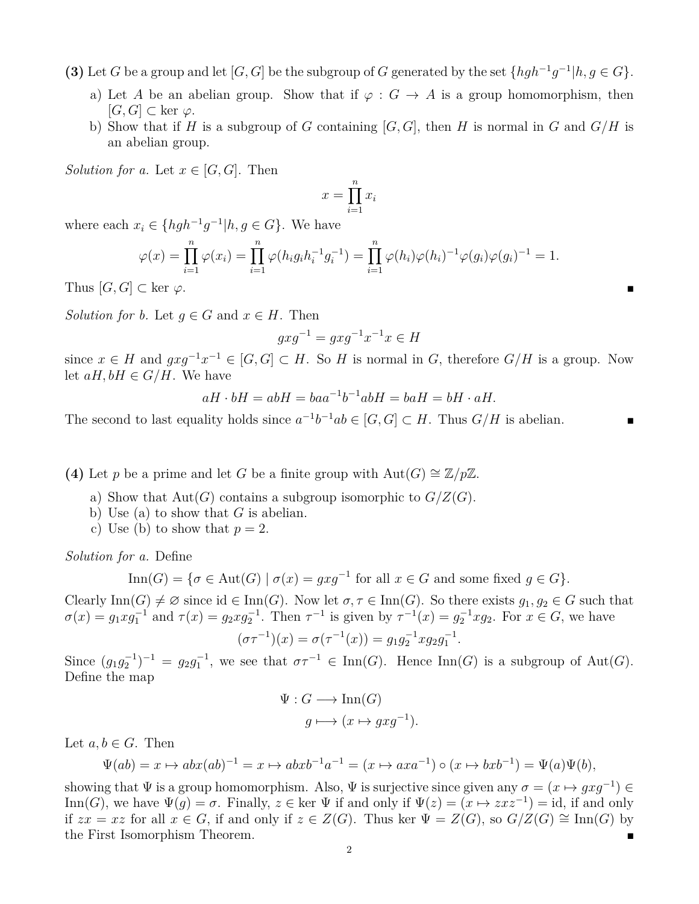**(3)** Let *G* be a group and let  $[G, G]$  be the subgroup of *G* generated by the set  $\{hgh^{-1}g^{-1}| h, g \in G\}$ .

- a) Let *A* be an abelian group. Show that if  $\varphi : G \to A$  is a group homomorphism, then [*G, G*] ⊂ ker *ϕ*.
- b) Show that if *H* is a subgroup of *G* containing  $[G, G]$ , then *H* is normal in *G* and  $G/H$  is an abelian group.

*Solution for a.* Let  $x \in [G, G]$ . Then

$$
x = \prod_{i=1}^{n} x_i
$$

where each  $x_i \in \{hgh^{-1}g^{-1}|h, g \in G\}$ . We have

$$
\varphi(x) = \prod_{i=1}^{n} \varphi(x_i) = \prod_{i=1}^{n} \varphi(h_i g_i h_i^{-1} g_i^{-1}) = \prod_{i=1}^{n} \varphi(h_i) \varphi(h_i)^{-1} \varphi(g_i) \varphi(g_i)^{-1} = 1.
$$

Thus  $[G, G] \subset \text{ker } \varphi$ .

*Solution for b.* Let  $q \in G$  and  $x \in H$ . Then

$$
gxg^{-1} = gxg^{-1}x^{-1}x \in H
$$

since  $x \in H$  and  $g x g^{-1} x^{-1} \in [G, G] \subset H$ . So *H* is normal in *G*, therefore  $G/H$  is a group. Now let  $aH, bH \in G/H$ . We have

$$
aH \cdot bH = abH = baa^{-1}b^{-1}abH = baH = bH \cdot aH.
$$

The second to last equality holds since  $a^{-1}b^{-1}ab \in [G, G] \subset H$ . Thus  $G/H$  is abelian.

**(4)** Let *p* be a prime and let *G* be a finite group with  $\text{Aut}(G) \cong \mathbb{Z}/p\mathbb{Z}$ .

- a) Show that  $Aut(G)$  contains a subgroup isomorphic to  $G/Z(G)$ .
- b) Use (a) to show that *G* is abelian.
- c) Use (b) to show that  $p=2$ .

*Solution for a.* Define

$$
\operatorname{Inn}(G) = \{ \sigma \in \operatorname{Aut}(G) \mid \sigma(x) = gxg^{-1} \text{ for all } x \in G \text{ and some fixed } g \in G \}.
$$

Clearly  $\text{Inn}(G) \neq \emptyset$  since id  $\in \text{Inn}(G)$ . Now let  $\sigma, \tau \in \text{Inn}(G)$ . So there exists  $g_1, g_2 \in G$  such that  $\sigma(x) = g_1 x g_1^{-1}$  and  $\tau(x) = g_2 x g_2^{-1}$ . Then  $\tau^{-1}$  is given by  $\tau^{-1}(x) = g_2^{-1} x g_2$ . For  $x \in G$ , we have −1 −1 −1 *.*

$$
(\sigma \tau^{-1})(x) = \sigma(\tau^{-1}(x)) = g_1 g_2^{-1} x g_2 g_1^{-1}
$$

Since  $(g_1g_2^{-1})^{-1} = g_2g_1^{-1}$ , we see that  $\sigma\tau^{-1} \in \text{Inn}(G)$ . Hence  $\text{Inn}(G)$  is a subgroup of  $\text{Aut}(G)$ . Define the map

$$
\Psi: G \longrightarrow \text{Inn}(G)
$$

$$
g \longmapsto (x \mapsto gxg^{-1}).
$$

Let  $a, b \in G$ . Then

$$
\Psi(ab) = x \mapsto abx(ab)^{-1} = x \mapsto abxb^{-1}a^{-1} = (x \mapsto axa^{-1}) \circ (x \mapsto bxb^{-1}) = \Psi(a)\Psi(b),
$$

showing that  $\Psi$  is a group homomorphism. Also,  $\Psi$  is surjective since given any  $\sigma = (x \mapsto gxg^{-1}) \in$ Inn(*G*), we have  $\Psi(g) = \sigma$ . Finally,  $z \in \text{ker } \Psi$  if and only if  $\Psi(z) = (x \mapsto zxz^{-1}) = id$ , if and only if  $zx = xz$  for all  $x \in G$ , if and only if  $z \in Z(G)$ . Thus ker  $\Psi = Z(G)$ , so  $G/Z(G) \cong \text{Inn}(G)$  by the First Isomorphism Theorem.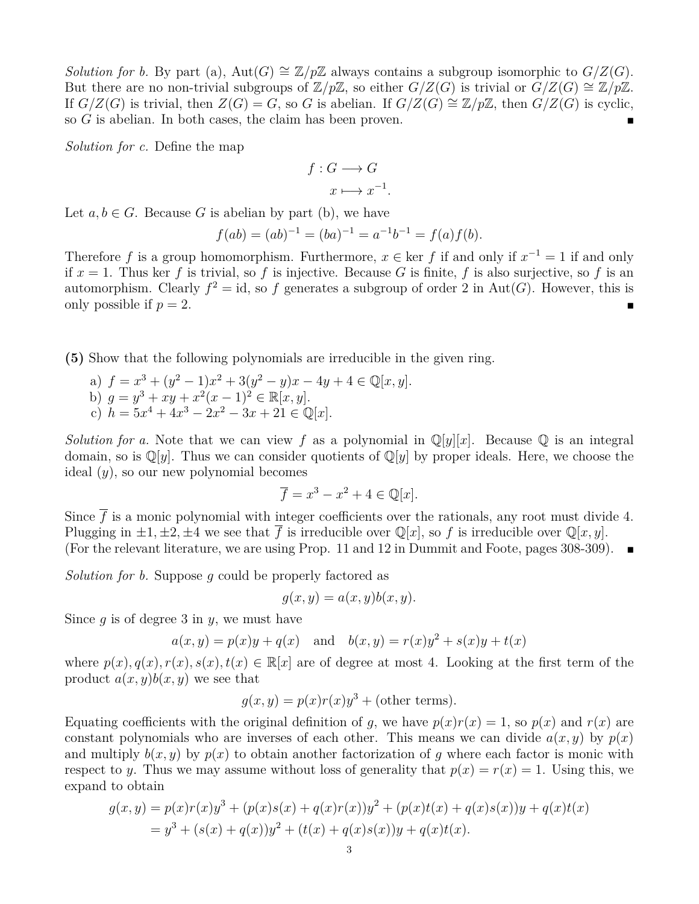*Solution for b.* By part (a), Aut $(G) \cong \mathbb{Z}/p\mathbb{Z}$  always contains a subgroup isomorphic to  $G/Z(G)$ . But there are no non-trivial subgroups of  $\mathbb{Z}/p\mathbb{Z}$ , so either  $G/Z(G)$  is trivial or  $G/Z(G) \cong \mathbb{Z}/p\mathbb{Z}$ . If  $G/Z(G)$  is trivial, then  $Z(G) = G$ , so *G* is abelian. If  $G/Z(G) \cong \mathbb{Z}/p\mathbb{Z}$ , then  $G/Z(G)$  is cyclic, so *G* is abelian. In both cases, the claim has been proven.

*Solution for c.* Define the map

$$
f: G \longrightarrow G
$$

$$
x \longmapsto x^{-1}
$$

*.*

Let  $a, b \in G$ . Because *G* is abelian by part (b), we have

$$
f(ab) = (ab)^{-1} = (ba)^{-1} = a^{-1}b^{-1} = f(a)f(b).
$$

Therefore f is a group homomorphism. Furthermore,  $x \in \text{ker } f$  if and only if  $x^{-1} = 1$  if and only if  $x = 1$ . Thus ker f is trivial, so f is injective. Because G is finite, f is also surjective, so f is an automorphism. Clearly  $f^2 = id$ , so f generates a subgroup of order 2 in Aut(G). However, this is only possible if  $p = 2$ .

**(5)** Show that the following polynomials are irreducible in the given ring.

a)  $f = x^3 + (y^2 - 1)x^2 + 3(y^2 - y)x - 4y + 4 \in \mathbb{Q}[x, y].$ b)  $g = y^3 + xy + x^2(x-1)^2 \in \mathbb{R}[x, y].$ c)  $h = 5x^4 + 4x^3 - 2x^2 - 3x + 21 \in \mathbb{Q}[x].$ 

*Solution for a.* Note that we can view f as a polynomial in  $\mathbb{Q}[y][x]$ . Because  $\mathbb{Q}$  is an integral domain, so is  $\mathbb{Q}[y]$ . Thus we can consider quotients of  $\mathbb{Q}[y]$  by proper ideals. Here, we choose the ideal (*y*), so our new polynomial becomes

$$
\overline{f} = x^3 - x^2 + 4 \in \mathbb{Q}[x].
$$

Since  $\bar{f}$  is a monic polynomial with integer coefficients over the rationals, any root must divide 4. Plugging in  $\pm 1, \pm 2, \pm 4$  we see that  $\overline{f}$  is irreducible over  $\mathbb{Q}[x]$ , so f is irreducible over  $\mathbb{Q}[x, y]$ . (For the relevant literature, we are using Prop. 11 and 12 in Dummit and Foote, pages 308-309).  $\blacksquare$ 

*Solution for b.* Suppose *g* could be properly factored as

$$
g(x, y) = a(x, y)b(x, y).
$$

Since *g* is of degree 3 in *y*, we must have

$$
a(x, y) = p(x)y + q(x)
$$
 and  $b(x, y) = r(x)y^{2} + s(x)y + t(x)$ 

where  $p(x)$ ,  $q(x)$ ,  $r(x)$ ,  $s(x)$ ,  $t(x) \in \mathbb{R}[x]$  are of degree at most 4. Looking at the first term of the product  $a(x, y)b(x, y)$  we see that

$$
g(x, y) = p(x)r(x)y^{3} + \text{(other terms)}.
$$

Equating coefficients with the original definition of *q*, we have  $p(x)r(x) = 1$ , so  $p(x)$  and  $r(x)$  are constant polynomials who are inverses of each other. This means we can divide  $a(x, y)$  by  $p(x)$ and multiply  $b(x, y)$  by  $p(x)$  to obtain another factorization of q where each factor is monic with respect to *y*. Thus we may assume without loss of generality that  $p(x) = r(x) = 1$ . Using this, we expand to obtain

$$
g(x,y) = p(x)r(x)y^{3} + (p(x)s(x) + q(x)r(x))y^{2} + (p(x)t(x) + q(x)s(x))y + q(x)t(x)
$$
  
=  $y^{3} + (s(x) + q(x))y^{2} + (t(x) + q(x)s(x))y + q(x)t(x).$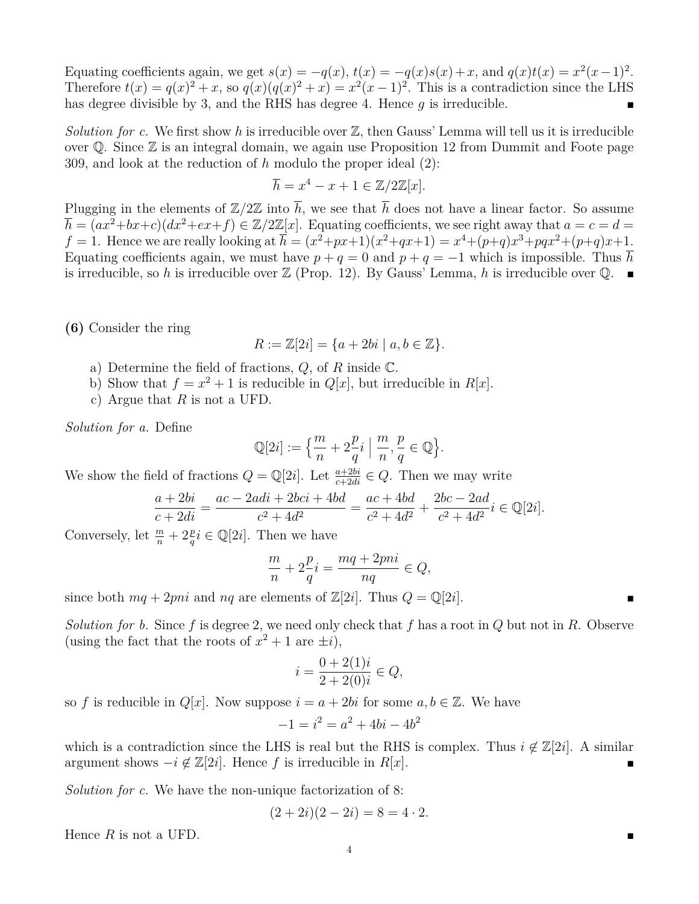Equating coefficients again, we get  $s(x) = -q(x), t(x) = -q(x)s(x) + x$ , and  $q(x)t(x) = x^2(x-1)^2$ . Therefore  $t(x) = q(x)^2 + x$ , so  $q(x)(q(x)^2 + x) = x^2(x-1)^2$ . This is a contradiction since the LHS has degree divisible by 3, and the RHS has degree 4. Hence *g* is irreducible.

*Solution for c.* We first show h is irreducible over  $\mathbb{Z}$ , then Gauss' Lemma will tell us it is irreducible over Q. Since Z is an integral domain, we again use Proposition 12 from Dummit and Foote page 309, and look at the reduction of *h* modulo the proper ideal (2):

$$
\overline{h} = x^4 - x + 1 \in \mathbb{Z}/2\mathbb{Z}[x].
$$

Plugging in the elements of  $\mathbb{Z}/2\mathbb{Z}$  into  $\overline{h}$ , we see that  $\overline{h}$  does not have a linear factor. So assume  $\overline{h} = (ax^2+bx+c)(dx^2+ex+f) \in \mathbb{Z}/2\mathbb{Z}[x]$ . Equating coefficients, we see right away that  $a = c = d$ *f* = 1. Hence we are really looking at  $\overline{h} = (x^2 + px + 1)(x^2 + qx + 1) = x^4 + (p+q)x^3 + pqx^2 + (p+q)x + 1$ . Equating coefficients again, we must have  $p + q = 0$  and  $p + q = -1$  which is impossible. Thus  $\overline{h}$ is irreducible, so h is irreducible over  $\mathbb{Z}$  (Prop. 12). By Gauss' Lemma, h is irreducible over  $\mathbb{Q}$ .

**(6)** Consider the ring

$$
R := \mathbb{Z}[2i] = \{a + 2bi \mid a, b \in \mathbb{Z}\}.
$$

- a) Determine the field of fractions, *Q*, of *R* inside C.
- b) Show that  $f = x^2 + 1$  is reducible in  $Q[x]$ , but irreducible in  $R[x]$ .
- c) Argue that *R* is not a UFD.

*Solution for a.* Define

$$
\mathbb{Q}[2i] := \left\{ \frac{m}{n} + 2\frac{p}{q}i \mid \frac{m}{n}, \frac{p}{q} \in \mathbb{Q} \right\}.
$$

We show the field of fractions  $Q = \mathbb{Q}[2i]$ . Let  $\frac{a+2bi}{c+2di} \in Q$ . Then we may write

$$
\frac{a+2bi}{c+2di} = \frac{ac-2adi+2bci+4bd}{c^2+4d^2} = \frac{ac+4bd}{c^2+4d^2} + \frac{2bc-2ad}{c^2+4d^2}i \in \mathbb{Q}[2i].
$$

Conversely, let  $\frac{m}{n} + 2\frac{p}{q}i \in \mathbb{Q}[2i]$ . Then we have

$$
\frac{m}{n} + 2\frac{p}{q}i = \frac{mq + 2pni}{nq} \in Q,
$$

since both  $mq + 2pni$  and  $nq$  are elements of  $\mathbb{Z}[2i]$ . Thus  $Q = \mathbb{Q}[2i]$ .

*Solution for b.* Since *f* is degree 2, we need only check that *f* has a root in *Q* but not in *R*. Observe (using the fact that the roots of  $x^2 + 1$  are  $\pm i$ ),

$$
i = \frac{0 + 2(1)i}{2 + 2(0)i} \in Q,
$$

so *f* is reducible in  $Q[x]$ . Now suppose  $i = a + 2bi$  for some  $a, b \in \mathbb{Z}$ . We have

$$
-1 = i^2 = a^2 + 4bi - 4b^2
$$

which is a contradiction since the LHS is real but the RHS is complex. Thus  $i \notin \mathbb{Z}[2i]$ . A similar argument shows  $-i \notin \mathbb{Z}[2i]$ . Hence *f* is irreducible in *R*[*x*].

*Solution for c.* We have the non-unique factorization of 8:

$$
(2+2i)(2-2i) = 8 = 4 \cdot 2.
$$

Hence *R* is not a UFD.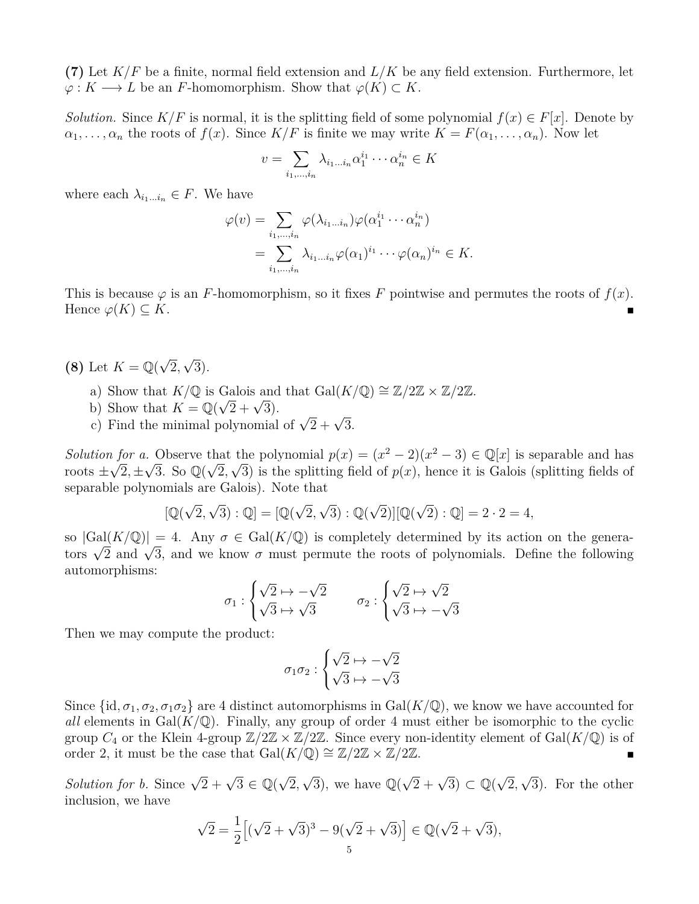**(7)** Let *K/F* be a finite, normal field extension and *L/K* be any field extension. Furthermore, let  $\varphi: K \longrightarrow L$  be an *F*-homomorphism. Show that  $\varphi(K) \subset K$ .

*Solution.* Since  $K/F$  is normal, it is the splitting field of some polynomial  $f(x) \in F[x]$ . Denote by  $\alpha_1, \ldots, \alpha_n$  the roots of  $f(x)$ . Since  $K/F$  is finite we may write  $K = F(\alpha_1, \ldots, \alpha_n)$ . Now let

$$
v = \sum_{i_1, \dots, i_n} \lambda_{i_1 \dots i_n} \alpha_1^{i_1} \cdots \alpha_n^{i_n} \in K
$$

where each  $\lambda_{i_1...i_n} \in F$ . We have

$$
\varphi(v) = \sum_{i_1,\dots,i_n} \varphi(\lambda_{i_1\dots i_n}) \varphi(\alpha_1^{i_1} \cdots \alpha_n^{i_n})
$$
  
= 
$$
\sum_{i_1,\dots,i_n} \lambda_{i_1\dots i_n} \varphi(\alpha_1)^{i_1} \cdots \varphi(\alpha_n)^{i_n} \in K.
$$

This is because  $\varphi$  is an *F*-homomorphism, so it fixes *F* pointwise and permutes the roots of  $f(x)$ . Hence  $\varphi(K) \subset K$ .

- **(8)** Let  $K = \mathbb{Q}(\sqrt{2})$ 2*,* √ 3).
	- a) Show that  $K/\mathbb{Q}$  is Galois and that  $Gal(K/\mathbb{Q}) \cong \mathbb{Z}/2\mathbb{Z} \times \mathbb{Z}/2\mathbb{Z}$ .
	- a) Show that  $K = \mathbb{Q}(\sqrt{2} + \sqrt{3}).$
	- c) Find the minimal polynomial of  $\sqrt{2} + \sqrt{3}$ .

*Solution for a.* Observe that the polynomial  $p(x) = (x^2 - 2)(x^2 - 3) \in \mathbb{Q}[x]$  is separable and has roots  $\pm\sqrt{2}, \pm\sqrt{3}$ . So  $\mathbb{Q}(\sqrt{2}, \sqrt{3})$  is the splitting field of  $p(x)$ , hence it is Galois (splitting fields of separable polynomials are Galois). Note that

$$
[\mathbb{Q}(\sqrt{2},\sqrt{3}):\mathbb{Q}] = [\mathbb{Q}(\sqrt{2},\sqrt{3}):\mathbb{Q}(\sqrt{2})][\mathbb{Q}(\sqrt{2}):\mathbb{Q}] = 2 \cdot 2 = 4,
$$

so  $|Gal(K/\mathbb{Q})|=4$ . Any  $\sigma \in Gal(K/\mathbb{Q})$  is completely determined by its action on the generaso  $|\text{Gal}(K/\mathbb{Q})| = 4$ . Any  $\sigma \in \text{Gal}(K/\mathbb{Q})$  is completely determined by its action on the generators  $\sqrt{2}$  and  $\sqrt{3}$ , and we know  $\sigma$  must permute the roots of polynomials. Define the following automorphisms:

$$
\sigma_1 : \begin{cases} \sqrt{2} \mapsto -\sqrt{2} \\ \sqrt{3} \mapsto \sqrt{3} \end{cases} \qquad \sigma_2 : \begin{cases} \sqrt{2} \mapsto \sqrt{2} \\ \sqrt{3} \mapsto -\sqrt{3} \end{cases}
$$

Then we may compute the product:

$$
\sigma_1 \sigma_2 : \begin{cases} \sqrt{2} \mapsto -\sqrt{2} \\ \sqrt{3} \mapsto -\sqrt{3} \end{cases}
$$

Since  $\{\mathrm{id}, \sigma_1, \sigma_2, \sigma_1\sigma_2\}$  are 4 distinct automorphisms in Gal( $K/\mathbb{Q}$ ), we know we have accounted for *all* elements in  $Gal(K/\mathbb{Q})$ . Finally, any group of order 4 must either be isomorphic to the cyclic group  $C_4$  or the Klein 4-group  $\mathbb{Z}/2\mathbb{Z} \times \mathbb{Z}/2\mathbb{Z}$ . Since every non-identity element of Gal( $K/\mathbb{Q}$ ) is of order 2, it must be the case that Gal( $K/\mathbb{Q}$ ) ≅  $\mathbb{Z}/2\mathbb{Z} \times \mathbb{Z}/2\mathbb{Z}$ .

*Solution for b.* Since  $\sqrt{2} + \sqrt{3} \in \mathbb{Q}(\sqrt{3})$ 2*,*  $\sqrt{3}$ ), we have  $\mathbb{Q}(\sqrt{2}+\sqrt{3}) \subset \mathbb{Q}(\sqrt{3})$ 2*,* √ 3). For the other inclusion, we have

$$
\sqrt{2} = \frac{1}{2} \Big[ (\sqrt{2} + \sqrt{3})^3 - 9(\sqrt{2} + \sqrt{3}) \Big] \in \mathbb{Q}(\sqrt{2} + \sqrt{3}),
$$